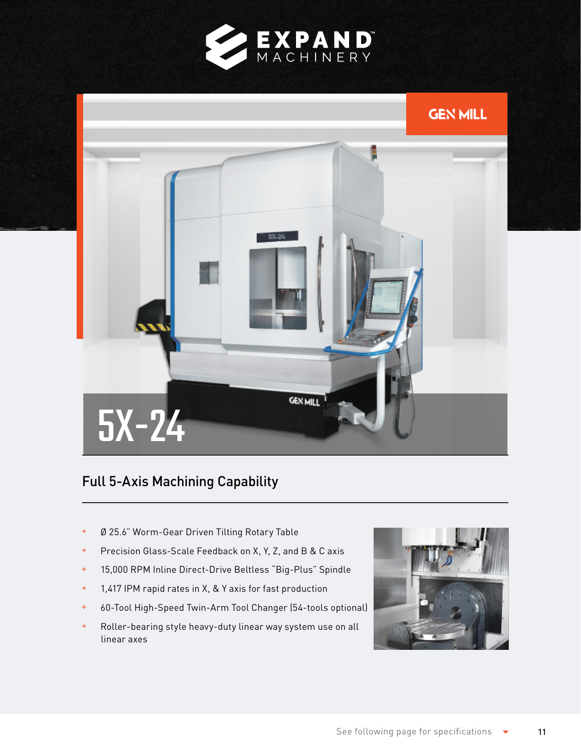



## Full 5-Axis Machining Capability

- Ø 25.6" Worm-Gear Driven Tilting Rotary Table
- Precision Glass-Scale Feedback on X, Y, Z, and B & C axis
- 15,000 RPM Inline Direct-Drive Beltless "Big-Plus" Spindle
- 1,417 IPM rapid rates in X, & Y axis for fast production
- 60-Tool High-Speed Twin-Arm Tool Changer (54-tools optional)
- Roller-bearing style heavy-duty linear way system use on all linear axes